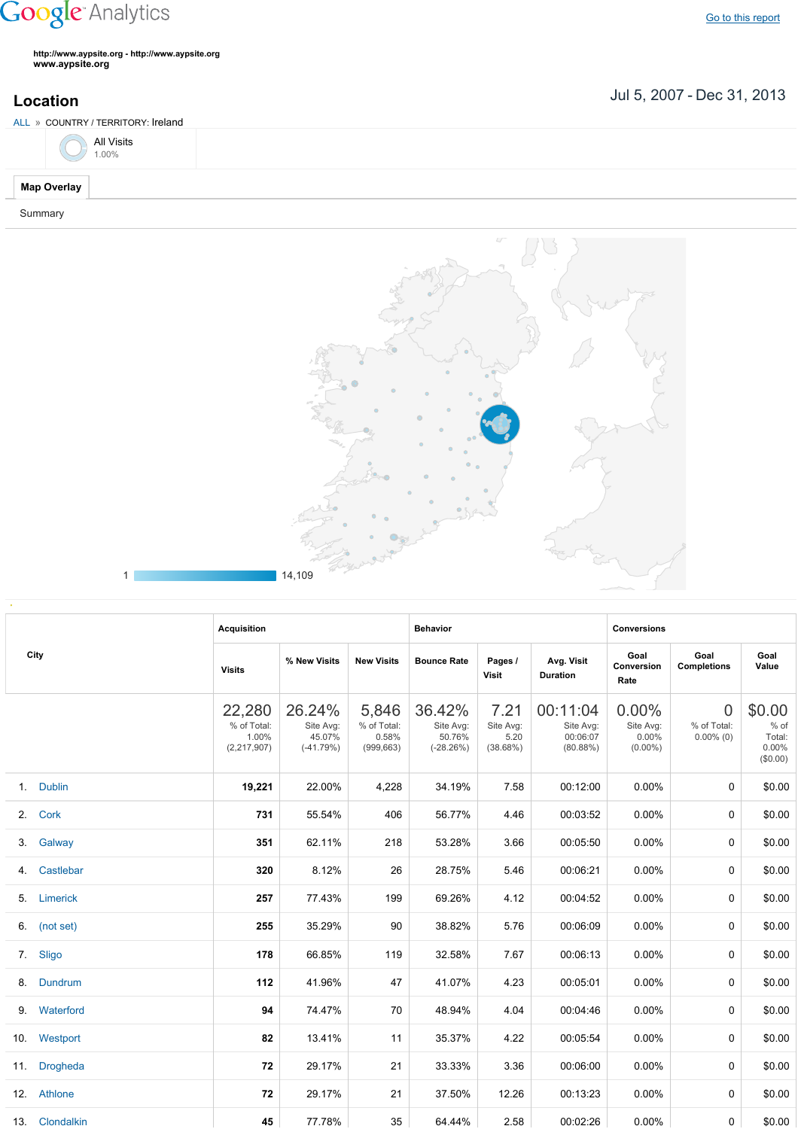## **Google** Analytics

**http://www.aypsite.org http://www.aypsite.org www.aypsite.org**

**Location** Jul 5, 2007 - Dec 31, 2013

| ALL » COUNTRY / TERRITORY: Ireland |  |
|------------------------------------|--|
| All Visits $1.00\%$                |  |
| <b>Map Overlay</b>                 |  |
| Summary                            |  |



|      | <b>Acquisition</b> |                                                 |                                              | <b>Behavior</b>                             |                                              |                                       | <b>Conversions</b>                            |                                              |                                               |                                                    |
|------|--------------------|-------------------------------------------------|----------------------------------------------|---------------------------------------------|----------------------------------------------|---------------------------------------|-----------------------------------------------|----------------------------------------------|-----------------------------------------------|----------------------------------------------------|
| City |                    | <b>Visits</b>                                   | % New Visits                                 | <b>New Visits</b>                           | <b>Bounce Rate</b>                           | Pages /<br><b>Visit</b>               | Avg. Visit<br><b>Duration</b>                 | Goal<br>Conversion<br>Rate                   | Goal<br><b>Completions</b>                    | Goal<br>Value                                      |
|      |                    | 22,280<br>% of Total:<br>1.00%<br>(2, 217, 907) | 26.24%<br>Site Avg:<br>45.07%<br>$(-41.79%)$ | 5,846<br>% of Total:<br>0.58%<br>(999, 663) | 36.42%<br>Site Avg:<br>50.76%<br>$(-28.26%)$ | 7.21<br>Site Avg:<br>5.20<br>(38.68%) | 00:11:04<br>Site Avg:<br>00:06:07<br>(80.88%) | $0.00\%$<br>Site Avg:<br>0.00%<br>$(0.00\%)$ | $\overline{0}$<br>% of Total:<br>$0.00\%$ (0) | \$0.00<br>$%$ of<br>Total:<br>$0.00\%$<br>(\$0.00) |
|      | 1. Dublin          | 19,221                                          | 22.00%                                       | 4,228                                       | 34.19%                                       | 7.58                                  | 00:12:00                                      | $0.00\%$                                     | $\Omega$                                      | \$0.00                                             |
|      | 2. Cork            | 731                                             | 55.54%                                       | 406                                         | 56.77%                                       | 4.46                                  | 00:03:52                                      | $0.00\%$                                     | 0                                             | \$0.00                                             |
|      | 3. Galway          | 351                                             | 62.11%                                       | 218                                         | 53.28%                                       | 3.66                                  | 00:05:50                                      | $0.00\%$                                     | 0                                             | \$0.00                                             |
| 4.   | Castlebar          | 320                                             | 8.12%                                        | 26                                          | 28.75%                                       | 5.46                                  | 00:06:21                                      | 0.00%                                        | 0                                             | \$0.00                                             |
|      | 5. Limerick        | 257                                             | 77.43%                                       | 199                                         | 69.26%                                       | 4.12                                  | 00:04:52                                      | 0.00%                                        | 0                                             | \$0.00                                             |
|      | 6. (not set)       | 255                                             | 35.29%                                       | 90                                          | 38.82%                                       | 5.76                                  | 00:06:09                                      | 0.00%                                        | 0                                             | \$0.00                                             |
|      | 7. Sligo           | 178                                             | 66.85%                                       | 119                                         | 32.58%                                       | 7.67                                  | 00:06:13                                      | $0.00\%$                                     | 0                                             | \$0.00                                             |
| 8.   | Dundrum            | 112                                             | 41.96%                                       | 47                                          | 41.07%                                       | 4.23                                  | 00:05:01                                      | 0.00%                                        | 0                                             | \$0.00                                             |
|      | 9. Waterford       | 94                                              | 74.47%                                       | 70                                          | 48.94%                                       | 4.04                                  | 00:04:46                                      | $0.00\%$                                     | 0                                             | \$0.00                                             |
|      | 10. Westport       | 82                                              | 13.41%                                       | 11                                          | 35.37%                                       | 4.22                                  | 00:05:54                                      | 0.00%                                        | 0                                             | \$0.00                                             |
|      | 11. Drogheda       | 72                                              | 29.17%                                       | 21                                          | 33.33%                                       | 3.36                                  | 00:06:00                                      | $0.00\%$                                     | 0                                             | \$0.00                                             |
|      | 12. Athlone        | 72                                              | 29.17%                                       | 21                                          | 37.50%                                       | 12.26                                 | 00:13:23                                      | $0.00\%$                                     | 0                                             | \$0.00                                             |
|      | 13. Clondalkin     | 45                                              | 77.78%                                       | 35                                          | 64.44%                                       | 2.58                                  | 00:02:26                                      | $0.00\%$                                     | 0                                             | \$0.00                                             |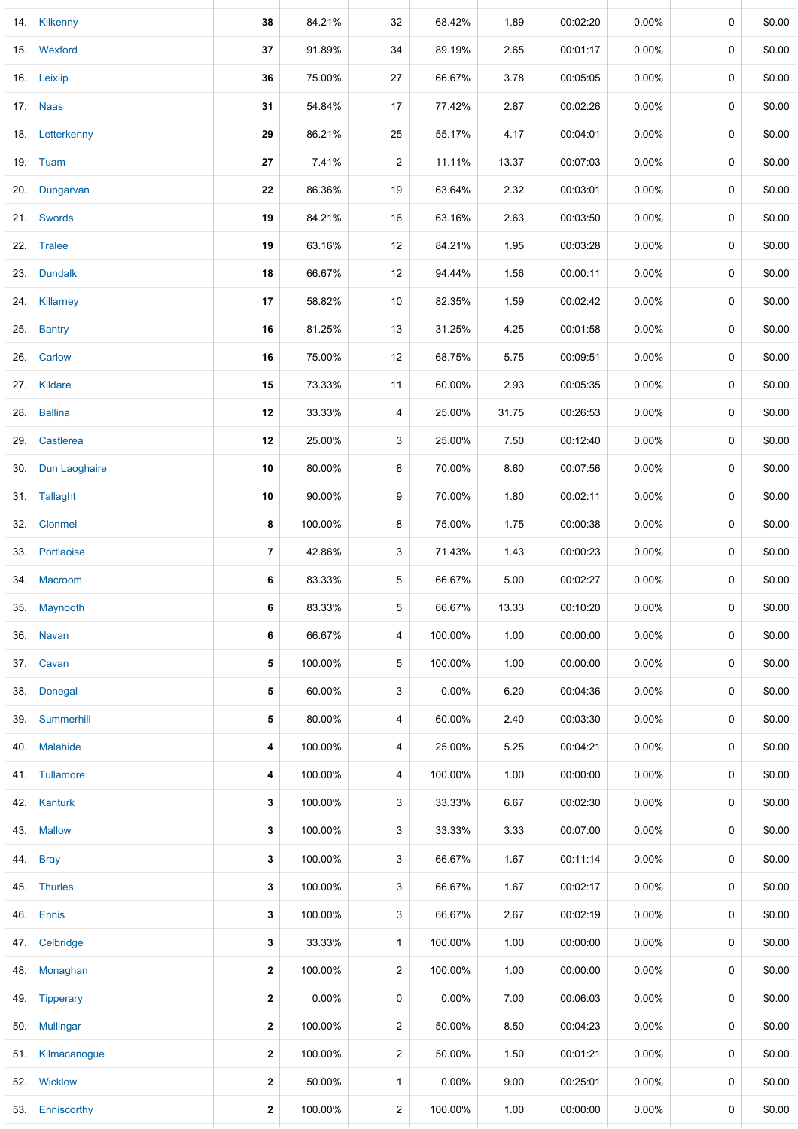|     | 14. Kilkenny      | 38           | 84.21%  | 32             | 68.42%  | 1.89  | 00:02:20 | $0.00\%$ | 0 | \$0.00 |
|-----|-------------------|--------------|---------|----------------|---------|-------|----------|----------|---|--------|
|     | 15. Wexford       | 37           | 91.89%  | 34             | 89.19%  | 2.65  | 00:01:17 | $0.00\%$ | 0 | \$0.00 |
|     | 16. Leixlip       | 36           | 75.00%  | 27             | 66.67%  | 3.78  | 00:05:05 | $0.00\%$ | 0 | \$0.00 |
|     | 17. Naas          | 31           | 54.84%  | 17             | 77.42%  | 2.87  | 00:02:26 | $0.00\%$ | 0 | \$0.00 |
|     | 18. Letterkenny   | 29           | 86.21%  | 25             | 55.17%  | 4.17  | 00:04:01 | 0.00%    | 0 | \$0.00 |
|     | 19. Tuam          | 27           | 7.41%   | $\overline{c}$ | 11.11%  | 13.37 | 00:07:03 | $0.00\%$ | 0 | \$0.00 |
|     | 20. Dungarvan     | 22           | 86.36%  | 19             | 63.64%  | 2.32  | 00:03:01 | 0.00%    | 0 | \$0.00 |
|     | 21. Swords        | 19           | 84.21%  | 16             | 63.16%  | 2.63  | 00:03:50 | $0.00\%$ | 0 | \$0.00 |
|     | 22. Tralee        | 19           | 63.16%  | 12             | 84.21%  | 1.95  | 00:03:28 | 0.00%    | 0 | \$0.00 |
| 23. | <b>Dundalk</b>    | 18           | 66.67%  | 12             | 94.44%  | 1.56  | 00:00:11 | $0.00\%$ | 0 | \$0.00 |
|     | 24. Killarney     | 17           | 58.82%  | 10             | 82.35%  | 1.59  | 00:02:42 | $0.00\%$ | 0 | \$0.00 |
| 25. | <b>Bantry</b>     | 16           | 81.25%  | 13             | 31.25%  | 4.25  | 00:01:58 | 0.00%    | 0 | \$0.00 |
|     | 26. Carlow        | 16           | 75.00%  | 12             | 68.75%  | 5.75  | 00:09:51 | 0.00%    | 0 | \$0.00 |
|     | 27. Kildare       | 15           | 73.33%  | 11             | 60.00%  | 2.93  | 00:05:35 | 0.00%    | 0 | \$0.00 |
| 28. | <b>Ballina</b>    | 12           | 33.33%  | 4              | 25.00%  | 31.75 | 00:26:53 | 0.00%    | 0 | \$0.00 |
| 29. | Castlerea         | 12           | 25.00%  | 3              | 25.00%  | 7.50  | 00:12:40 | $0.00\%$ | 0 | \$0.00 |
|     | 30. Dun Laoghaire | 10           | 80.00%  | 8              | 70.00%  | 8.60  | 00:07:56 | $0.00\%$ | 0 | \$0.00 |
|     | 31. Tallaght      | 10           | 90.00%  | 9              | 70.00%  | 1.80  | 00:02:11 | $0.00\%$ | 0 | \$0.00 |
|     | 32. Clonmel       | 8            | 100.00% | 8              | 75.00%  | 1.75  | 00:00:38 | $0.00\%$ | 0 | \$0.00 |
|     | 33. Portlaoise    | 7            | 42.86%  | 3              | 71.43%  | 1.43  | 00:00:23 | 0.00%    | 0 | \$0.00 |
|     | 34. Macroom       | 6            | 83.33%  | 5              | 66.67%  | 5.00  | 00:02:27 | 0.00%    | 0 | \$0.00 |
| 35. | Maynooth          | 6            | 83.33%  | 5              | 66.67%  | 13.33 | 00:10:20 | $0.00\%$ | 0 | \$0.00 |
| 36. | <b>Navan</b>      | 6            | 66.67%  | 4              | 100.00% | 1.00  | 00:00:00 | $0.00\%$ | 0 | \$0.00 |
|     | 37. Cavan         | 5            | 100.00% | 5              | 100.00% | 1.00  | 00:00:00 | $0.00\%$ | 0 | \$0.00 |
| 38. | Donegal           | 5            | 60.00%  | 3              | 0.00%   | 6.20  | 00:04:36 | $0.00\%$ | 0 | \$0.00 |
| 39. | Summerhill        | 5            | 80.00%  | 4              | 60.00%  | 2.40  | 00:03:30 | 0.00%    | 0 | \$0.00 |
| 40. | <b>Malahide</b>   | 4            | 100.00% | 4              | 25.00%  | 5.25  | 00:04:21 | $0.00\%$ | 0 | \$0.00 |
|     | 41. Tullamore     | 4            | 100.00% | 4              | 100.00% | 1.00  | 00:00:00 | $0.00\%$ | 0 | \$0.00 |
|     | 42. Kanturk       | 3            | 100.00% | 3              | 33.33%  | 6.67  | 00:02:30 | $0.00\%$ | 0 | \$0.00 |
|     | 43. Mallow        | 3            | 100.00% | 3              | 33.33%  | 3.33  | 00:07:00 | $0.00\%$ | 0 | \$0.00 |
|     | 44. Bray          | 3            | 100.00% | 3              | 66.67%  | 1.67  | 00:11:14 | $0.00\%$ | 0 | \$0.00 |
|     | 45. Thurles       | 3            | 100.00% | 3              | 66.67%  | 1.67  | 00:02:17 | $0.00\%$ | 0 | \$0.00 |
|     | 46. Ennis         | 3            | 100.00% | 3              | 66.67%  | 2.67  | 00:02:19 | $0.00\%$ | 0 | \$0.00 |
|     | 47. Celbridge     | 3            | 33.33%  | $\mathbf{1}$   | 100.00% | 1.00  | 00:00:00 | $0.00\%$ | 0 | \$0.00 |
| 48. | Monaghan          | $\mathbf{2}$ | 100.00% | $\overline{2}$ | 100.00% | 1.00  | 00:00:00 | $0.00\%$ | 0 | \$0.00 |
|     | 49. Tipperary     | $\mathbf{2}$ | 0.00%   | 0              | 0.00%   | 7.00  | 00:06:03 | $0.00\%$ | 0 | \$0.00 |
|     | 50. Mullingar     | $\mathbf{2}$ | 100.00% | $\overline{c}$ | 50.00%  | 8.50  | 00:04:23 | $0.00\%$ | 0 | \$0.00 |
|     | 51. Kilmacanogue  | $\mathbf{2}$ | 100.00% | $\overline{2}$ | 50.00%  | 1.50  | 00:01:21 | $0.00\%$ | 0 | \$0.00 |
|     | 52. Wicklow       | $\mathbf{2}$ | 50.00%  | $\mathbf{1}$   | 0.00%   | 9.00  | 00:25:01 | $0.00\%$ | 0 | \$0.00 |
| 53. | Enniscorthy       | $\mathbf{2}$ | 100.00% | $\overline{2}$ | 100.00% | 1.00  | 00:00:00 | $0.00\%$ | 0 | \$0.00 |